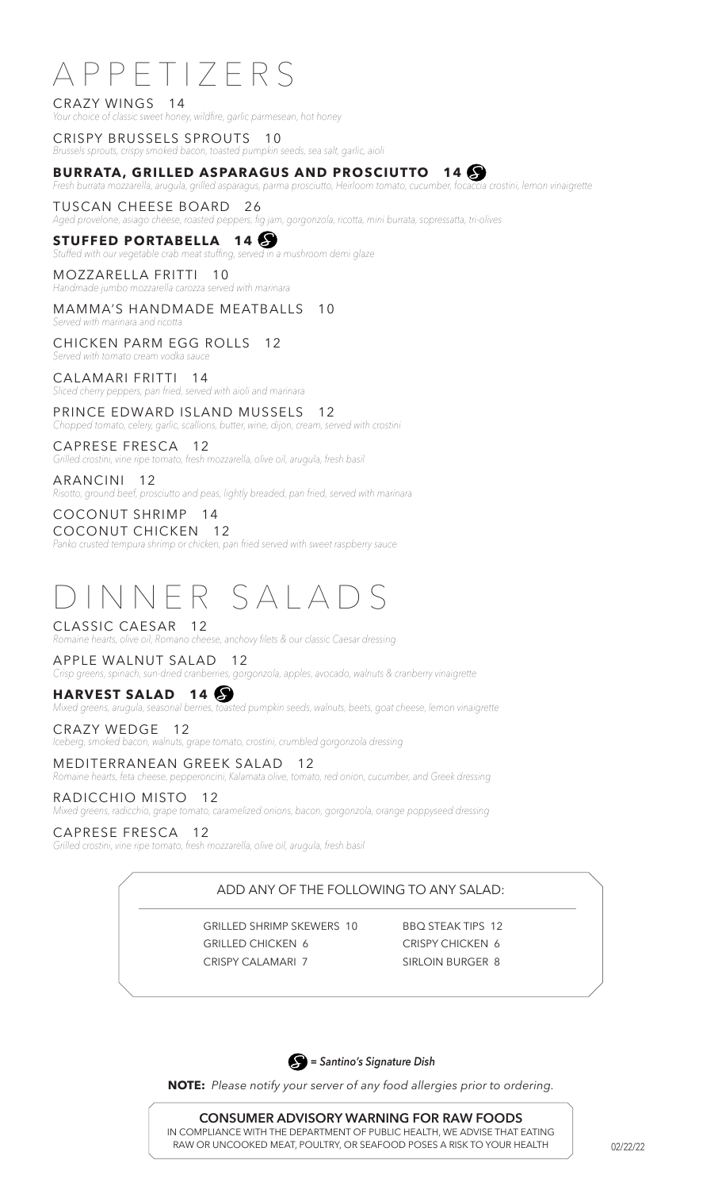# APPETIZERS

CRAZY WINGS 14 *Your choice of classic sweet honey, wildfire, garlic parmesean, hot honey* 

CRISPY BRUSSELS SPROUTS 10 *Brussels sprouts, crispy smoked bacon, toasted pumpkin seeds, sea salt, garlic, aioli* 

# **BURRATA, GRILLED ASPARAGUS AND PROSCIUTTO 14**

*Fresh burrata mozzarella, arugula, grilled asparagus, parma prosciutto, Heirloom tomato, cucumber, focaccia crostini, lemon vinaigrette* 

# TUSCAN CHEESE BOARD 26

*Aged provelone, asiago cheese, roasted peppers, fig jam, gorgonzola, ricotta, mini burrata, sopressatta, tri-olives* 

# **STUFFED PORTABELLA 14**

*Stuffed with our vegetable crab meat stuffing, served in a mushroom demi glaze*

#### MOZZARELLA FRITTI 10 *Handmade jumbo mozzarella carozza served with marinara*

# MAMMA'S HANDMADE MEATBALLS 10

*Served with marinara and ricotta*

#### CHICKEN PARM EGG ROLLS 12 *Served with tomato cream vodka sauce*

CALAMARI FRITTI 14

# *Sliced cherry peppers, pan fried, served with aioli and marinara* PRINCE EDWARD ISLAND MUSSELS 12

*Chopped tomato, celery, garlic, scallions, butter, wine, dijon, cream, served with crostini* 

# CAPRESE FRESCA 12

*Grilled crostini, vine ripe tomato, fresh mozzarella, olive oil, arugula, fresh basil* 

# ARANCINI 12

*Risotto, ground beef, prosciutto and peas, lightly breaded, pan fried, served with marinara*

#### COCONUT SHRIMP 14 COCONUT CHICKEN 12

*Panko crusted tempura shrimp or chicken, pan fried served with sweet raspberry sauce*

# DINNER SALADS

CLASSIC CAESAR 12 *Romaine hearts, olive oil, Romano cheese, anchovy filets & our classic Caesar dressing*

# APPLE WALNUT SALAD 12

*Crisp greens, spinach, sun-dried cranberries, gorgonzola, apples, avocado, walnuts & cranberry vinaigrette* 

# **HARVEST SALAD 14**

*Mixed greens, arugula, seasonal berries, toasted pumpkin seeds, walnuts, beets, goat cheese, lemon vinaigrette* 

#### CRAZY WEDGE 12

*Iceberg, smoked bacon, walnuts, grape tomato, crostini, crumbled gorgonzola dressing*

### MEDITERRANEAN GREEK SALAD 12

*Romaine hearts, feta cheese, pepperoncini, Kalamata olive, tomato, red onion, cucumber, and Greek dressing* 

# RADICCHIO MISTO 12

*Mixed greens, radicchio, grape tomato, caramelized onions, bacon, gorgonzola, orange poppyseed dressing*

### CAPRESE FRESCA 12

*Grilled crostini, vine ripe tomato, fresh mozzarella, olive oil, arugula, fresh basil*

# ADD ANY OF THE FOLLOWING TO ANY SALAD:

GRILLED SHRIMP SKEWERS 10 BBQ STEAK TIPS 12 GRILLED CHICKEN 6 CRISPY CHICKEN 6 CRISPY CALAMARI 7 SIRLOIN BURGER 8



**NOTE:** *Please notify your server of any food allergies prior to ordering.*

**CONSUMER ADVISORY WARNING FOR RAW FOODS** IN COMPLIANCE WITH THE DEPARTMENT OF PUBLIC HEALTH, WE ADVISE THAT EATING RAW OR UNCOOKED MEAT, POULTRY, OR SEAFOOD POSES A RISK TO YOUR HEALTH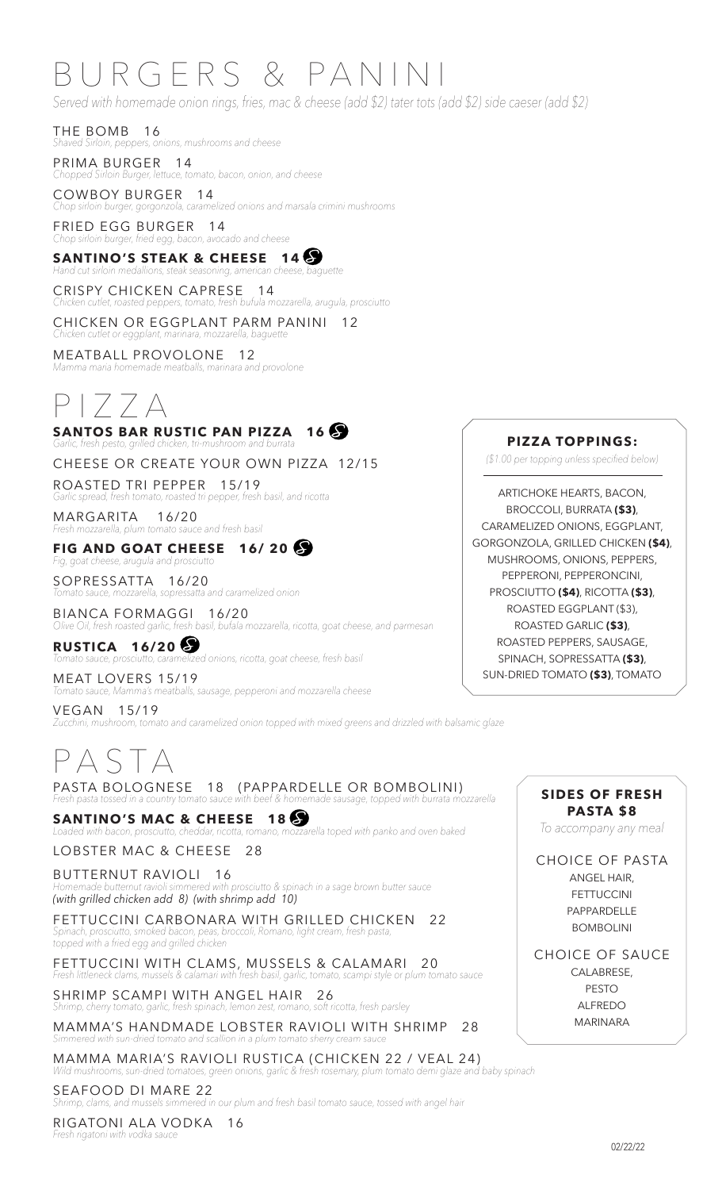# BURGERS & PANINI

*Served with homemade onion rings, fries, mac & cheese (add \$2) tater tots (add \$2) side caeser (add \$2)*

THE BOMB 16 *Shaved Sirloin, peppers, onions, mushrooms and cheese* 

PRIMA BURGER 14 *Chopped Sirloin Burger, lettuce, tomato, bacon, onion, and cheese* 

COWBOY BURGER 14 *Chop sirloin burger, gorgonzola, caramelized onions and marsala crimini mushrooms* 

FRIED EGG BURGER 14 *Chop sirloin burger, fried egg, bacon, avocado and cheese* 

**SANTINO'S STEAK & CHEESE 14**  *Hand cut sirloin medallions, steak seasoning, american cheese, baguette* 

CRISPY CHICKEN CAPRESE 14 *Chicken cutlet, roasted peppers, tomato, fresh bufula mozzarella, arugula, prosciutto* 

CHICKEN OR EGGPLANT PARM PANINI 12 *Chicken cutlet or eggplant, marinara, mozzarella, baguette* 

MEATBALL PROVOLONE 12 *Mamma maria homemade meatballs, marinara and provolone*

# PIZZA

**SANTOS BAR RUSTIC PAN PIZZA 16** *Garlic, fresh pesto, grilled chicken, tri-mushroom and burrata* 

CHEESE OR CREATE YOUR OWN PIZZA 12/15

ROASTED TRI PEPPER 15/19 *Garlic spread, fresh tomato, roasted tri pepper, fresh basil, and ricotta* 

MARGARITA 16/20 *Fresh mozzarella, plum tomato sauce and fresh basil* 

**FIG AND GOAT CHEESE 16/ 20** *Fig, goat cheese, arugula and prosciutto* 

SOPRESSATTA 16/20 *Tomato sauce, mozzarella, sopressatta and caramelized onion* 

BIANCA FORMAGGI 16/20 *Olive Oil, fresh roasted garlic, fresh basil, bufala mozzarella, ricotta, goat cheese, and parmesan* 

**RUSTICA 16/20** *Tomato sauce, prosciutto, caramelized onions, ricotta, goat cheese, fresh basil* 

MEAT LOVERS 15/19 *Tomato sauce, Mamma's meatballs, sausage, pepperoni and mozzarella cheese* VEGAN 15/19 *Zucchini, mushroom, tomato and caramelized onion topped with mixed greens and drizzled with balsamic glaze* 

# P A S T A

PASTA BOLOGNESE 18 (PAPPARDELLE OR BOMBOLINI) *Fresh pasta tossed in a country tomato sauce with beef & homemade sausage, topped with burrata mozzarella* 

**SANTINO'S MAC & CHEESE 18** *Loaded with bacon, prosciutto, cheddar, ricotta, romano, mozzarella toped with panko and oven baked*

LOBSTER MAC & CHEESE 28

BUTTERNUT RAVIOLI 16 *Homemade butternut ravioli simmered with prosciutto & spinach in a sage brown butter sauce (with grilled chicken add 8) (with shrimp add 10)*

FETTUCCINI CARBONARA WITH GRILLED CHICKEN 22 *Spinach, prosciutto, smoked bacon, peas, broccoli, Romano, light cream, fresh pasta, topped with a fried egg and grilled chicken*

FETTUCCINI WITH CLAMS, MUSSELS & CALAMARI 20 *Fresh littleneck clams, mussels & calamari with fresh basil, garlic, tomato, scampi style or plum tomato sauce* 

SHRIMP SCAMPI WITH ANGEL HAIR 26 *Shrimp, cherry tomato, garlic, fresh spinach, lemon zest, romano, soft ricotta, fresh parsley* 

MAMMA'S HANDMADE LOBSTER RAVIOLI WITH SHRIMP 28

*Simmered with sun-dried tomato and scallion in a plum tomato sherry cream sauce*

MAMMA MARIA'S RAVIOLI RUSTICA (CHICKEN 22 / VEAL 24) *Wild mushrooms, sun-dried tomatoes, green onions, garlic & fresh rosemary, plum tomato demi glaze and baby spinach* 

SEAFOOD DI MARE 22

*Shrimp, clams, and mussels simmered in our plum and fresh basil tomato sauce, tossed with angel hair* 

RIGATONI ALA VODKA 16 *Fresh rigatoni with vodka sauce* 

# **PIZZA TOPPINGS:**

*(\$1.00 per topping unless specified below)*

ARTICHOKE HEARTS, BACON, BROCCOLI, BURRATA **(\$3)**, CARAMELIZED ONIONS, EGGPLANT, GORGONZOLA, GRILLED CHICKEN **(\$4)**, MUSHROOMS, ONIONS, PEPPERS, PEPPERONI, PEPPERONCINI, PROSCIUTTO **(\$4)**, RICOTTA **(\$3)**, ROASTED EGGPLANT (\$3), ROASTED GARLIC **(\$3)**, ROASTED PEPPERS, SAUSAGE, SPINACH, SOPRESSATTA **(\$3)**, SUN-DRIED TOMATO **(\$3)**, TOMATO

> **SIDES OF FRESH PASTA \$8**

*To accompany any meal*

CHOICE OF PASTA

ANGEL HAIR, FETTUCCINI PAPPARDELLE BOMBOLINI

CHOICE OF SAUCE CALABRESE, PESTO ALFREDO MARINARA